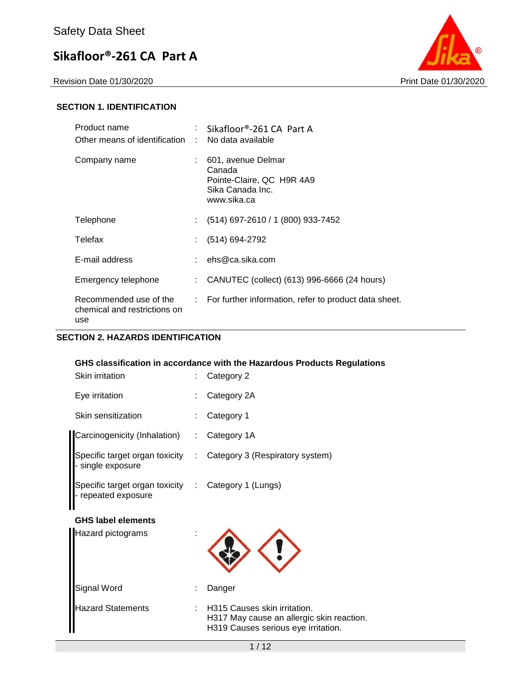

## **SECTION 1. IDENTIFICATION**

| Product name<br>Other means of identification :               | Sikafloor®-261 CA Part A<br>No data available                                                |
|---------------------------------------------------------------|----------------------------------------------------------------------------------------------|
| Company name                                                  | 601, avenue Delmar<br>Canada<br>Pointe-Claire, QC H9R 4A9<br>Sika Canada Inc.<br>www.sika.ca |
| Telephone                                                     | (514) 697-2610 / 1 (800) 933-7452                                                            |
| Telefax                                                       | (514) 694-2792                                                                               |
| E-mail address                                                | ehs@ca.sika.com                                                                              |
| Emergency telephone                                           | CANUTEC (collect) (613) 996-6666 (24 hours)                                                  |
| Recommended use of the<br>chemical and restrictions on<br>use | : For further information, refer to product data sheet.                                      |

### **SECTION 2. HAZARDS IDENTIFICATION**

## **GHS classification in accordance with the Hazardous Products Regulations**

| Skin irritation                                     |                  | Category 2                                                                                                       |
|-----------------------------------------------------|------------------|------------------------------------------------------------------------------------------------------------------|
| Eye irritation                                      |                  | Category 2A                                                                                                      |
| Skin sensitization                                  |                  | Category 1                                                                                                       |
| Carcinogenicity (Inhalation)                        |                  | Category 1A                                                                                                      |
| Specific target organ toxicity<br>single exposure   | ÷                | Category 3 (Respiratory system)                                                                                  |
| Specific target organ toxicity<br>repeated exposure | $\mathbb{Z}^n$ . | Category 1 (Lungs)                                                                                               |
| <b>GHS label elements</b>                           |                  |                                                                                                                  |
| <b>Hazard pictograms</b>                            |                  |                                                                                                                  |
| Signal Word                                         |                  | Danger                                                                                                           |
| <b>Hazard Statements</b>                            |                  | H315 Causes skin irritation.<br>H317 May cause an allergic skin reaction.<br>H319 Causes serious eye irritation. |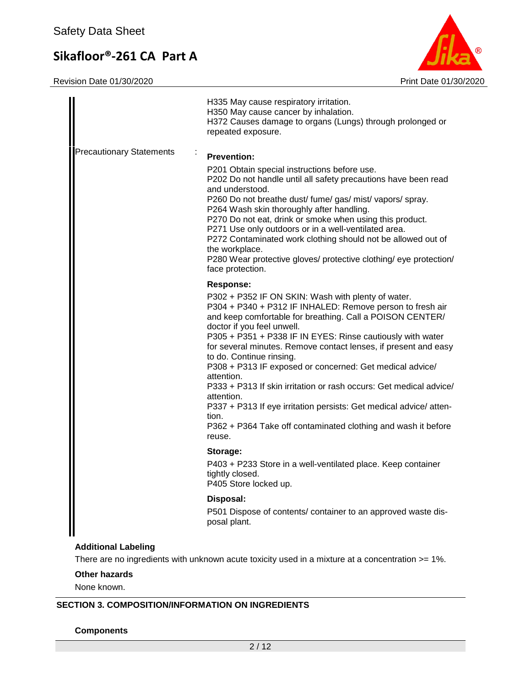Revision Date 01/30/2020 Print Date 01/30/2020



|                                 | H335 May cause respiratory irritation.<br>H350 May cause cancer by inhalation.<br>H372 Causes damage to organs (Lungs) through prolonged or<br>repeated exposure.                                                                                                                                                                                                                                                                                                                                                                                                                                                                                                                                                  |
|---------------------------------|--------------------------------------------------------------------------------------------------------------------------------------------------------------------------------------------------------------------------------------------------------------------------------------------------------------------------------------------------------------------------------------------------------------------------------------------------------------------------------------------------------------------------------------------------------------------------------------------------------------------------------------------------------------------------------------------------------------------|
| <b>Precautionary Statements</b> | <b>Prevention:</b><br>P201 Obtain special instructions before use.<br>P202 Do not handle until all safety precautions have been read<br>and understood.<br>P260 Do not breathe dust/ fume/ gas/ mist/ vapors/ spray.<br>P264 Wash skin thoroughly after handling.<br>P270 Do not eat, drink or smoke when using this product.<br>P271 Use only outdoors or in a well-ventilated area.<br>P272 Contaminated work clothing should not be allowed out of<br>the workplace.<br>P280 Wear protective gloves/ protective clothing/ eye protection/<br>face protection.                                                                                                                                                   |
|                                 | <b>Response:</b><br>P302 + P352 IF ON SKIN: Wash with plenty of water.<br>P304 + P340 + P312 IF INHALED: Remove person to fresh air<br>and keep comfortable for breathing. Call a POISON CENTER/<br>doctor if you feel unwell.<br>P305 + P351 + P338 IF IN EYES: Rinse cautiously with water<br>for several minutes. Remove contact lenses, if present and easy<br>to do. Continue rinsing.<br>P308 + P313 IF exposed or concerned: Get medical advice/<br>attention.<br>P333 + P313 If skin irritation or rash occurs: Get medical advice/<br>attention.<br>P337 + P313 If eye irritation persists: Get medical advice/atten-<br>tion.<br>P362 + P364 Take off contaminated clothing and wash it before<br>reuse. |
|                                 | Storage:<br>P403 + P233 Store in a well-ventilated place. Keep container<br>tightly closed.<br>P405 Store locked up.<br>Disposal:<br>P501 Dispose of contents/ container to an approved waste dis-<br>posal plant.                                                                                                                                                                                                                                                                                                                                                                                                                                                                                                 |
| <b>Additional Labeling</b>      |                                                                                                                                                                                                                                                                                                                                                                                                                                                                                                                                                                                                                                                                                                                    |

There are no ingredients with unknown acute toxicity used in a mixture at a concentration >= 1%.

#### **Other hazards**

None known.

## **SECTION 3. COMPOSITION/INFORMATION ON INGREDIENTS**

**Components**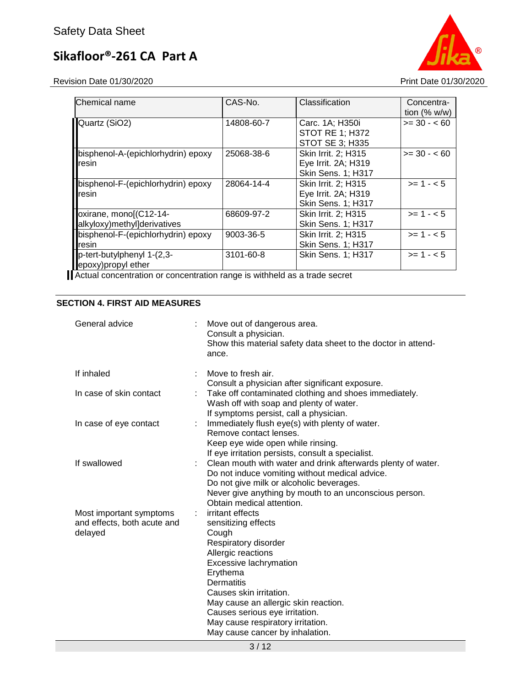Revision Date 01/30/2020 **Print Date 01/30/2020** 



| CAS-No.    | Classification            | Concentra-     |
|------------|---------------------------|----------------|
|            |                           | tion $(% w/w)$ |
| 14808-60-7 | Carc. 1A; H350i           | $>= 30 - 60$   |
|            | <b>STOT RE 1; H372</b>    |                |
|            | STOT SE 3; H335           |                |
| 25068-38-6 | Skin Irrit. 2; H315       | $>= 30 - 60$   |
|            | Eye Irrit. 2A; H319       |                |
|            | <b>Skin Sens. 1; H317</b> |                |
| 28064-14-4 | Skin Irrit. 2; H315       | $>= 1 - 5$     |
|            | Eye Irrit. 2A; H319       |                |
|            | <b>Skin Sens. 1; H317</b> |                |
| 68609-97-2 | Skin Irrit. 2; H315       | $>= 1 - 5$     |
|            | <b>Skin Sens. 1: H317</b> |                |
| 9003-36-5  | Skin Irrit. 2: H315       | $>= 1 - 5$     |
|            | <b>Skin Sens. 1; H317</b> |                |
| 3101-60-8  | <b>Skin Sens. 1: H317</b> | $>= 1 - 5$     |
|            |                           |                |
|            |                           |                |

Actual concentration or concentration range is withheld as a trade secret

## **SECTION 4. FIRST AID MEASURES**

| General advice                                                    | Move out of dangerous area.<br>Consult a physician.<br>Show this material safety data sheet to the doctor in attend-<br>ance.                                                                                                                                                                                                                                |
|-------------------------------------------------------------------|--------------------------------------------------------------------------------------------------------------------------------------------------------------------------------------------------------------------------------------------------------------------------------------------------------------------------------------------------------------|
| If inhaled                                                        | Move to fresh air.<br>Consult a physician after significant exposure.                                                                                                                                                                                                                                                                                        |
| In case of skin contact                                           | Take off contaminated clothing and shoes immediately.<br>Wash off with soap and plenty of water.<br>If symptoms persist, call a physician.                                                                                                                                                                                                                   |
| In case of eye contact                                            | Immediately flush eye(s) with plenty of water.<br>Remove contact lenses.                                                                                                                                                                                                                                                                                     |
|                                                                   | Keep eye wide open while rinsing.<br>If eye irritation persists, consult a specialist.                                                                                                                                                                                                                                                                       |
| If swallowed                                                      | Clean mouth with water and drink afterwards plenty of water.<br>Do not induce vomiting without medical advice.<br>Do not give milk or alcoholic beverages.<br>Never give anything by mouth to an unconscious person.                                                                                                                                         |
| Most important symptoms<br>and effects, both acute and<br>delayed | Obtain medical attention.<br>irritant effects<br>sensitizing effects<br>Cough<br>Respiratory disorder<br>Allergic reactions<br>Excessive lachrymation<br>Erythema<br>Dermatitis<br>Causes skin irritation.<br>May cause an allergic skin reaction.<br>Causes serious eye irritation.<br>May cause respiratory irritation.<br>May cause cancer by inhalation. |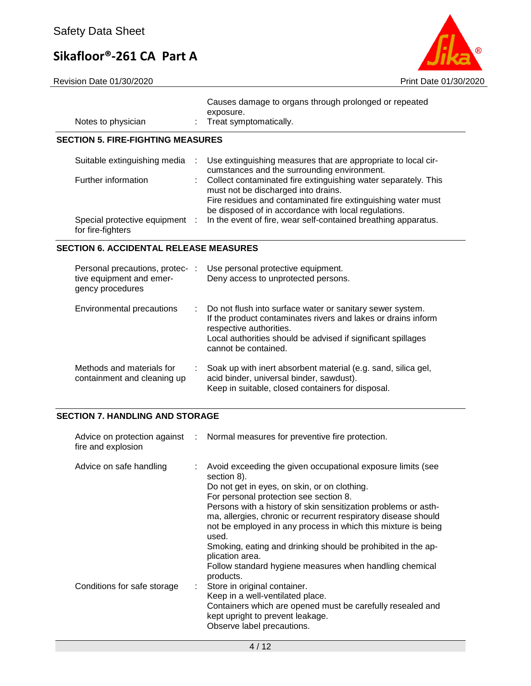Revision Date 01/30/2020 **Print Date 01/30/2020** 

| Notes to physician                                  |    | Causes damage to organs through prolonged or repeated<br>exposure.<br>Treat symptomatically.                                                                                                                          |
|-----------------------------------------------------|----|-----------------------------------------------------------------------------------------------------------------------------------------------------------------------------------------------------------------------|
| <b>SECTION 5. FIRE-FIGHTING MEASURES</b>            |    |                                                                                                                                                                                                                       |
| Suitable extinguishing media :                      |    | Use extinguishing measures that are appropriate to local cir-<br>cumstances and the surrounding environment.                                                                                                          |
| Further information                                 |    | Collect contaminated fire extinguishing water separately. This<br>must not be discharged into drains.                                                                                                                 |
|                                                     |    | Fire residues and contaminated fire extinguishing water must<br>be disposed of in accordance with local regulations.                                                                                                  |
| Special protective equipment :<br>for fire-fighters |    | In the event of fire, wear self-contained breathing apparatus.                                                                                                                                                        |
| <b>SECTION 6. ACCIDENTAL RELEASE MEASURES</b>       |    |                                                                                                                                                                                                                       |
| Personal precautions, protec- :                     |    | Use personal protective equipment.                                                                                                                                                                                    |
| tive equipment and emer-<br>gency procedures        |    | Deny access to unprotected persons.                                                                                                                                                                                   |
| Environmental precautions                           | ÷. | Do not flush into surface water or sanitary sewer system.<br>If the product contaminates rivers and lakes or drains inform<br>respective authorities.<br>Local authorities should be advised if significant spillages |

| Methods and materials for<br>containment and cleaning up | Soak up with inert absorbent material (e.g. sand, silica gel,<br>acid binder, universal binder, sawdust). |
|----------------------------------------------------------|-----------------------------------------------------------------------------------------------------------|
|                                                          | Keep in suitable, closed containers for disposal.                                                         |

cannot be contained.

## **SECTION 7. HANDLING AND STORAGE**

| fire and explosion          | Advice on protection against : Normal measures for preventive fire protection.                                                                                                                                                                                                                                                                                                     |
|-----------------------------|------------------------------------------------------------------------------------------------------------------------------------------------------------------------------------------------------------------------------------------------------------------------------------------------------------------------------------------------------------------------------------|
| Advice on safe handling     | Avoid exceeding the given occupational exposure limits (see<br>section 8).<br>Do not get in eyes, on skin, or on clothing.<br>For personal protection see section 8.<br>Persons with a history of skin sensitization problems or asth-<br>ma, allergies, chronic or recurrent respiratory disease should<br>not be employed in any process in which this mixture is being<br>used. |
| Conditions for safe storage | Smoking, eating and drinking should be prohibited in the ap-<br>plication area.<br>Follow standard hygiene measures when handling chemical<br>products.<br>: Store in original container.<br>Keep in a well-ventilated place.<br>Containers which are opened must be carefully resealed and<br>kept upright to prevent leakage.<br>Observe label precautions.                      |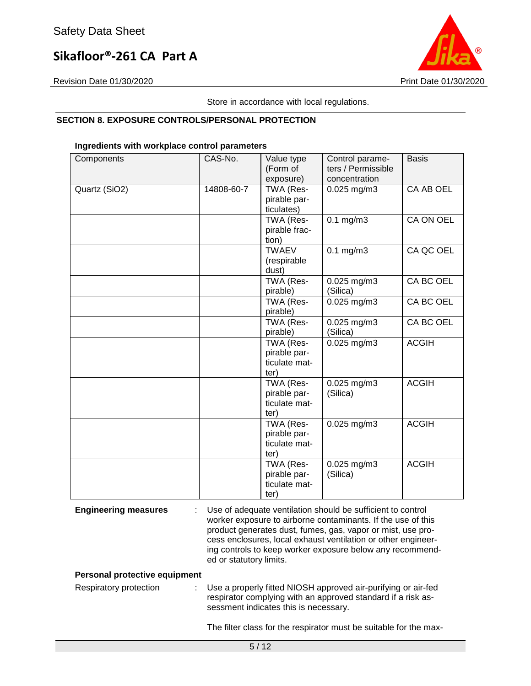

Revision Date 01/30/2020 Print Date 01/30/2020

Store in accordance with local regulations.

## **SECTION 8. EXPOSURE CONTROLS/PERSONAL PROTECTION**

### **Ingredients with workplace control parameters**

| Components    | CAS-No.    | Value type<br>(Form of<br>exposure)                | Control parame-<br>ters / Permissible<br>concentration | <b>Basis</b> |
|---------------|------------|----------------------------------------------------|--------------------------------------------------------|--------------|
| Quartz (SiO2) | 14808-60-7 | TWA (Res-<br>pirable par-<br>ticulates)            | $0.025$ mg/m3                                          | CA AB OEL    |
|               |            | TWA (Res-<br>pirable frac-<br>tion)                | $0.1$ mg/m $3$                                         | CA ON OEL    |
|               |            | <b>TWAEV</b><br>(respirable<br>dust)               | $0.1$ mg/m $3$                                         | CA QC OEL    |
|               |            | TWA (Res-<br>pirable)                              | $0.025$ mg/m3<br>(Silica)                              | CA BC OEL    |
|               |            | TWA (Res-<br>pirable)                              | 0.025 mg/m3                                            | CA BC OEL    |
|               |            | TWA (Res-<br>pirable)                              | 0.025 mg/m3<br>(Silica)                                | CA BC OEL    |
|               |            | TWA (Res-<br>pirable par-<br>ticulate mat-<br>ter) | $0.025$ mg/m3                                          | <b>ACGIH</b> |
|               |            | TWA (Res-<br>pirable par-<br>ticulate mat-<br>ter) | $0.025$ mg/m $3$<br>(Silica)                           | <b>ACGIH</b> |
|               |            | TWA (Res-<br>pirable par-<br>ticulate mat-<br>ter) | $0.025$ mg/m3                                          | <b>ACGIH</b> |
|               |            | TWA (Res-<br>pirable par-<br>ticulate mat-<br>ter) | 0.025 mg/m3<br>(Silica)                                | <b>ACGIH</b> |

**Engineering measures** : Use of adequate ventilation should be sufficient to control worker exposure to airborne contaminants. If the use of this product generates dust, fumes, gas, vapor or mist, use process enclosures, local exhaust ventilation or other engineering controls to keep worker exposure below any recommended or statutory limits.

### **Personal protective equipment**

Respiratory protection : Use a properly fitted NIOSH approved air-purifying or air-fed respirator complying with an approved standard if a risk assessment indicates this is necessary.

The filter class for the respirator must be suitable for the max-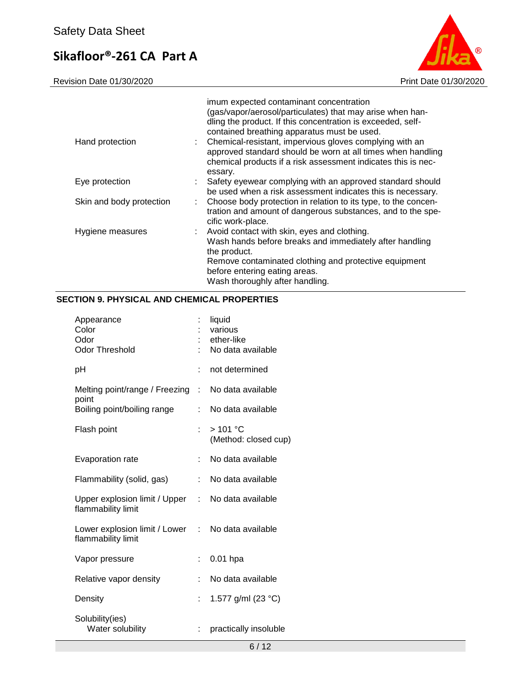Revision Date 01/30/2020 **Print Date 01/30/2020** 



| Hand protection          | imum expected contaminant concentration<br>(gas/vapor/aerosol/particulates) that may arise when han-<br>dling the product. If this concentration is exceeded, self-<br>contained breathing apparatus must be used.<br>: Chemical-resistant, impervious gloves complying with an<br>approved standard should be worn at all times when handling<br>chemical products if a risk assessment indicates this is nec-<br>essary. |
|--------------------------|----------------------------------------------------------------------------------------------------------------------------------------------------------------------------------------------------------------------------------------------------------------------------------------------------------------------------------------------------------------------------------------------------------------------------|
| Eye protection           | : Safety eyewear complying with an approved standard should<br>be used when a risk assessment indicates this is necessary.                                                                                                                                                                                                                                                                                                 |
| Skin and body protection | : Choose body protection in relation to its type, to the concen-<br>tration and amount of dangerous substances, and to the spe-<br>cific work-place.                                                                                                                                                                                                                                                                       |
| Hygiene measures         | : Avoid contact with skin, eyes and clothing.<br>Wash hands before breaks and immediately after handling<br>the product.<br>Remove contaminated clothing and protective equipment<br>before entering eating areas.<br>Wash thoroughly after handling.                                                                                                                                                                      |

## **SECTION 9. PHYSICAL AND CHEMICAL PROPERTIES**

| Appearance<br>Color<br>Odor<br><b>Odor Threshold</b> |    | liquid<br>various<br>ether-like<br>No data available |
|------------------------------------------------------|----|------------------------------------------------------|
| рH                                                   |    | not determined                                       |
| Melting point/range / Freezing<br>point              | ÷  | No data available                                    |
| Boiling point/boiling range                          |    | No data available                                    |
| Flash point                                          | ł. | >101 °C<br>(Method: closed cup)                      |
| <b>Evaporation rate</b>                              | t. | No data available                                    |
| Flammability (solid, gas)                            | ÷  | No data available                                    |
| Upper explosion limit / Upper<br>flammability limit  | t. | No data available                                    |
| Lower explosion limit / Lower<br>flammability limit  | t. | No data available                                    |
| Vapor pressure                                       | t. | $0.01$ hpa                                           |
| Relative vapor density                               |    | No data available                                    |
| Density                                              | ÷  | 1.577 g/ml (23 °C)                                   |
| Solubility(ies)<br>Water solubility                  | t. | practically insoluble                                |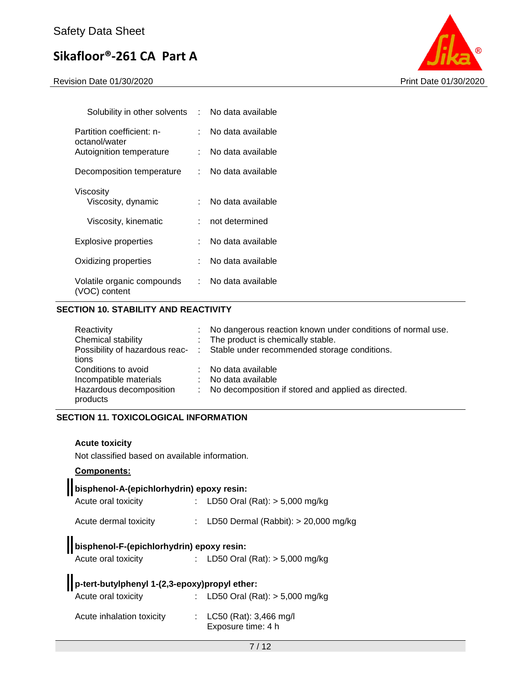Revision Date 01/30/2020 Print Date 01/30/2020



| Solubility in other solvents                | t in  | No data available |
|---------------------------------------------|-------|-------------------|
| Partition coefficient: n-                   | ٠.    | No data available |
| octanol/water<br>Autoignition temperature   |       | No data available |
| Decomposition temperature                   | t.    | No data available |
| Viscosity<br>Viscosity, dynamic             | × 1   | No data available |
| Viscosity, kinematic                        |       | not determined    |
| Explosive properties                        | t - 1 | No data available |
| Oxidizing properties                        | t.    | No data available |
| Volatile organic compounds<br>(VOC) content | t.    | No data available |

## **SECTION 10. STABILITY AND REACTIVITY**

| Reactivity<br>Chemical stability<br>tions                                            | : No dangerous reaction known under conditions of normal use.<br>: The product is chemically stable.<br>Possibility of hazardous reac- : Stable under recommended storage conditions. |
|--------------------------------------------------------------------------------------|---------------------------------------------------------------------------------------------------------------------------------------------------------------------------------------|
| Conditions to avoid<br>Incompatible materials<br>Hazardous decomposition<br>products | : No data available<br>: No data available<br>: No decomposition if stored and applied as directed.                                                                                   |

## **SECTION 11. TOXICOLOGICAL INFORMATION**

## **Acute toxicity**

Not classified based on available information.

## **Components:**

| bisphenol-A-(epichlorhydrin) epoxy resin:     |                                              |
|-----------------------------------------------|----------------------------------------------|
| Acute oral toxicity                           | LD50 Oral (Rat): $> 5,000$ mg/kg             |
| Acute dermal toxicity                         | LD50 Dermal (Rabbit): $> 20,000$ mg/kg       |
| bisphenol-F-(epichlorhydrin) epoxy resin:     |                                              |
| Acute oral toxicity                           | : LD50 Oral (Rat): $> 5,000$ mg/kg           |
| p-tert-butylphenyl 1-(2,3-epoxy)propyl ether: |                                              |
| Acute oral toxicity                           | LD50 Oral (Rat): $> 5,000$ mg/kg             |
| Acute inhalation toxicity                     | LC50 (Rat): 3,466 mg/l<br>Exposure time: 4 h |
|                                               |                                              |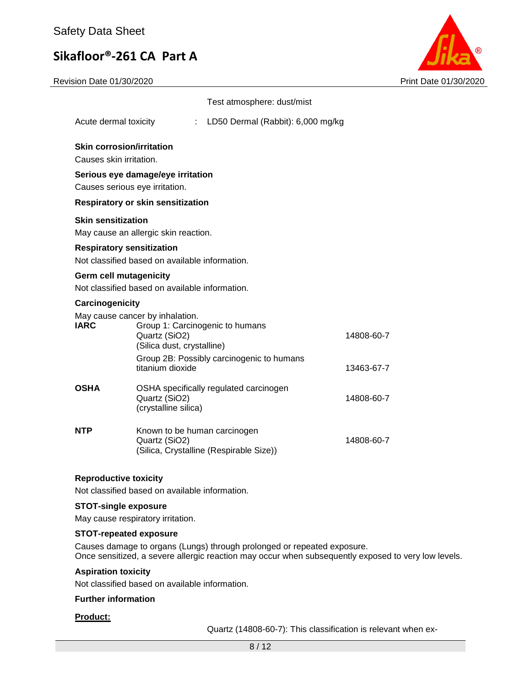Revision Date 01/30/2020 Print Date 01/30/2020



|                                                                                                                                                                                                                                                                                 |                                                                                                                                    | Test atmosphere: dust/mist              |            |  |  |
|---------------------------------------------------------------------------------------------------------------------------------------------------------------------------------------------------------------------------------------------------------------------------------|------------------------------------------------------------------------------------------------------------------------------------|-----------------------------------------|------------|--|--|
| Acute dermal toxicity                                                                                                                                                                                                                                                           |                                                                                                                                    | LD50 Dermal (Rabbit): 6,000 mg/kg       |            |  |  |
|                                                                                                                                                                                                                                                                                 | <b>Skin corrosion/irritation</b><br>Causes skin irritation.<br>Serious eye damage/eye irritation<br>Causes serious eye irritation. |                                         |            |  |  |
| <b>Respiratory or skin sensitization</b><br><b>Skin sensitization</b><br>May cause an allergic skin reaction.<br><b>Respiratory sensitization</b><br>Not classified based on available information.<br>Germ cell mutagenicity<br>Not classified based on available information. |                                                                                                                                    |                                         |            |  |  |
| Carcinogenicity<br>May cause cancer by inhalation.<br><b>IARC</b><br>Group 1: Carcinogenic to humans<br>Quartz (SiO2)<br>14808-60-7<br>(Silica dust, crystalline)<br>Group 2B: Possibly carcinogenic to humans<br>titanium dioxide<br>13463-67-7                                |                                                                                                                                    |                                         |            |  |  |
| <b>OSHA</b>                                                                                                                                                                                                                                                                     | Quartz (SiO2)<br>(crystalline silica)                                                                                              | OSHA specifically regulated carcinogen  | 14808-60-7 |  |  |
| NTP                                                                                                                                                                                                                                                                             | Known to be human carcinogen<br>Quartz (SiO2)                                                                                      | (Silica, Crystalline (Respirable Size)) | 14808-60-7 |  |  |

## **Reproductive toxicity**

Not classified based on available information.

#### **STOT-single exposure**

May cause respiratory irritation.

### **STOT-repeated exposure**

Causes damage to organs (Lungs) through prolonged or repeated exposure. Once sensitized, a severe allergic reaction may occur when subsequently exposed to very low levels.

## **Aspiration toxicity**

Not classified based on available information.

#### **Further information**

#### **Product:**

Quartz (14808-60-7): This classification is relevant when ex-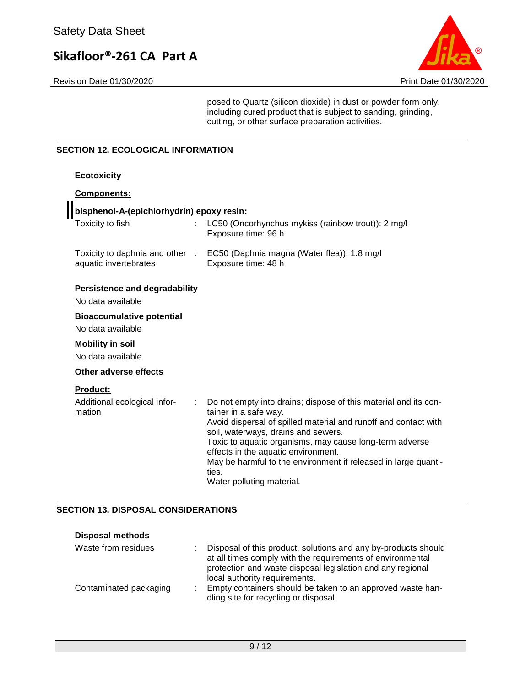Revision Date 01/30/2020 Print Date 01/30/2020

posed to Quartz (silicon dioxide) in dust or powder form only, including cured product that is subject to sanding, grinding, cutting, or other surface preparation activities.

### **SECTION 12. ECOLOGICAL INFORMATION**

| <b>Ecotoxicity</b>                                        |                                                                                                                                                                                                                                                                                                                                                                                                              |
|-----------------------------------------------------------|--------------------------------------------------------------------------------------------------------------------------------------------------------------------------------------------------------------------------------------------------------------------------------------------------------------------------------------------------------------------------------------------------------------|
| Components:                                               |                                                                                                                                                                                                                                                                                                                                                                                                              |
| bisphenol-A-(epichlorhydrin) epoxy resin:                 |                                                                                                                                                                                                                                                                                                                                                                                                              |
| Toxicity to fish                                          | LC50 (Oncorhynchus mykiss (rainbow trout)): 2 mg/l<br>Exposure time: 96 h                                                                                                                                                                                                                                                                                                                                    |
| aquatic invertebrates                                     | Toxicity to daphnia and other : EC50 (Daphnia magna (Water flea)): 1.8 mg/l<br>Exposure time: 48 h                                                                                                                                                                                                                                                                                                           |
| <b>Persistence and degradability</b><br>No data available |                                                                                                                                                                                                                                                                                                                                                                                                              |
| <b>Bioaccumulative potential</b>                          |                                                                                                                                                                                                                                                                                                                                                                                                              |
| No data available                                         |                                                                                                                                                                                                                                                                                                                                                                                                              |
| <b>Mobility in soil</b>                                   |                                                                                                                                                                                                                                                                                                                                                                                                              |
| No data available                                         |                                                                                                                                                                                                                                                                                                                                                                                                              |
| Other adverse effects                                     |                                                                                                                                                                                                                                                                                                                                                                                                              |
| <b>Product:</b>                                           |                                                                                                                                                                                                                                                                                                                                                                                                              |
| Additional ecological infor-<br>mation                    | Do not empty into drains; dispose of this material and its con-<br>tainer in a safe way.<br>Avoid dispersal of spilled material and runoff and contact with<br>soil, waterways, drains and sewers.<br>Toxic to aquatic organisms, may cause long-term adverse<br>effects in the aquatic environment.<br>May be harmful to the environment if released in large quanti-<br>ties.<br>Water polluting material. |

## **SECTION 13. DISPOSAL CONSIDERATIONS**

| <b>Disposal methods</b> |                                                                                                                                                                                                                             |
|-------------------------|-----------------------------------------------------------------------------------------------------------------------------------------------------------------------------------------------------------------------------|
| Waste from residues     | Disposal of this product, solutions and any by-products should<br>at all times comply with the requirements of environmental<br>protection and waste disposal legislation and any regional<br>local authority requirements. |
| Contaminated packaging  | Empty containers should be taken to an approved waste han-<br>dling site for recycling or disposal.                                                                                                                         |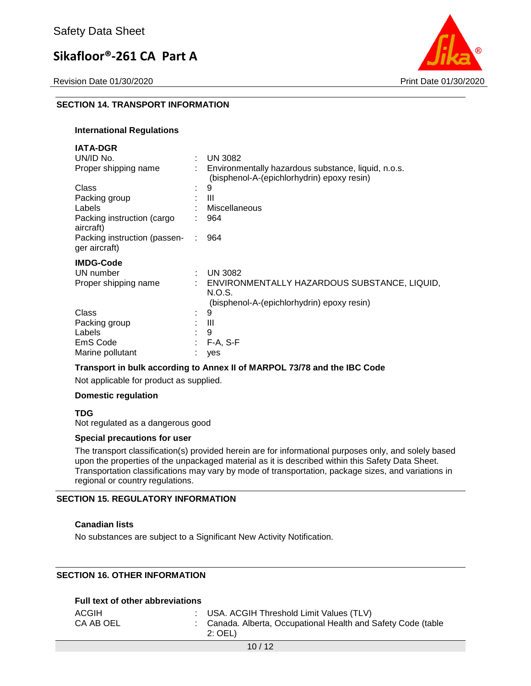Revision Date 01/30/2020 Print Date 01/30/2020



## **SECTION 14. TRANSPORT INFORMATION**

#### **International Regulations**

| <b>IATA-DGR</b>                               |   |                                                                                                   |
|-----------------------------------------------|---|---------------------------------------------------------------------------------------------------|
| UN/ID No.                                     |   | <b>UN 3082</b>                                                                                    |
| Proper shipping name                          |   | Environmentally hazardous substance, liquid, n.o.s.<br>(bisphenol-A-(epichlorhydrin) epoxy resin) |
| Class                                         |   | 9                                                                                                 |
| Packing group                                 |   | Ш                                                                                                 |
| Labels                                        |   | Miscellaneous                                                                                     |
| Packing instruction (cargo<br>aircraft)       |   | 964                                                                                               |
| Packing instruction (passen-<br>ger aircraft) |   | 964                                                                                               |
| <b>IMDG-Code</b>                              |   |                                                                                                   |
| UN number                                     | ÷ | <b>UN 3082</b>                                                                                    |
| Proper shipping name                          |   | ENVIRONMENTALLY HAZARDOUS SUBSTANCE, LIQUID,                                                      |
|                                               |   | N.O.S.                                                                                            |
|                                               |   | (bisphenol-A-(epichlorhydrin) epoxy resin)                                                        |
| Class                                         |   | 9                                                                                                 |
| Packing group                                 |   | Ш                                                                                                 |
| Labels                                        |   | 9                                                                                                 |
| EmS Code                                      |   | $F-A, S-F$                                                                                        |
| Marine pollutant                              |   | yes                                                                                               |

#### **Transport in bulk according to Annex II of MARPOL 73/78 and the IBC Code**

Not applicable for product as supplied.

#### **Domestic regulation**

**TDG**

Not regulated as a dangerous good

#### **Special precautions for user**

The transport classification(s) provided herein are for informational purposes only, and solely based upon the properties of the unpackaged material as it is described within this Safety Data Sheet. Transportation classifications may vary by mode of transportation, package sizes, and variations in regional or country regulations.

#### **SECTION 15. REGULATORY INFORMATION**

## **Canadian lists**

No substances are subject to a Significant New Activity Notification.

## **SECTION 16. OTHER INFORMATION**

## **Full text of other abbreviations**

| ACGIH<br>CA AB OEL | : USA. ACGIH Threshold Limit Values (TLV)<br>Canada. Alberta, Occupational Health and Safety Code (table<br>$2:$ OEL) |
|--------------------|-----------------------------------------------------------------------------------------------------------------------|
|--------------------|-----------------------------------------------------------------------------------------------------------------------|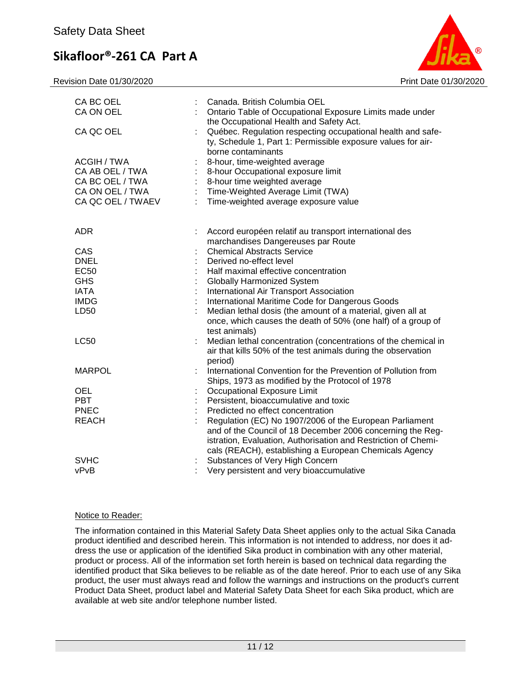Revision Date 01/30/2020 Print Date 01/30/2020



| CA BC OEL<br>CA ON OEL                                                                    | Canada. British Columbia OEL<br>Ontario Table of Occupational Exposure Limits made under                                                                                                                    |
|-------------------------------------------------------------------------------------------|-------------------------------------------------------------------------------------------------------------------------------------------------------------------------------------------------------------|
| CA QC OEL                                                                                 | the Occupational Health and Safety Act.<br>Québec. Regulation respecting occupational health and safe-<br>ty, Schedule 1, Part 1: Permissible exposure values for air-                                      |
| ACGIH / TWA<br>CA AB OEL / TWA<br>CA BC OEL / TWA<br>CA ON OEL / TWA<br>CA QC OEL / TWAEV | borne contaminants<br>8-hour, time-weighted average<br>8-hour Occupational exposure limit<br>8-hour time weighted average<br>Time-Weighted Average Limit (TWA)<br>÷<br>Time-weighted average exposure value |
| <b>ADR</b>                                                                                | Accord européen relatif au transport international des                                                                                                                                                      |
| CAS                                                                                       | marchandises Dangereuses par Route<br><b>Chemical Abstracts Service</b>                                                                                                                                     |
| <b>DNEL</b>                                                                               | Derived no-effect level                                                                                                                                                                                     |
| <b>EC50</b>                                                                               | Half maximal effective concentration                                                                                                                                                                        |
| <b>GHS</b>                                                                                | <b>Globally Harmonized System</b>                                                                                                                                                                           |
| <b>IATA</b>                                                                               | International Air Transport Association                                                                                                                                                                     |
| <b>IMDG</b>                                                                               | International Maritime Code for Dangerous Goods                                                                                                                                                             |
| LD50                                                                                      | Median lethal dosis (the amount of a material, given all at                                                                                                                                                 |
|                                                                                           | once, which causes the death of 50% (one half) of a group of                                                                                                                                                |
|                                                                                           | test animals)                                                                                                                                                                                               |
| <b>LC50</b>                                                                               | Median lethal concentration (concentrations of the chemical in                                                                                                                                              |
|                                                                                           | air that kills 50% of the test animals during the observation                                                                                                                                               |
|                                                                                           | period)                                                                                                                                                                                                     |
| <b>MARPOL</b>                                                                             | International Convention for the Prevention of Pollution from                                                                                                                                               |
| OEL                                                                                       | Ships, 1973 as modified by the Protocol of 1978<br>Occupational Exposure Limit                                                                                                                              |
| <b>PBT</b>                                                                                | Persistent, bioaccumulative and toxic                                                                                                                                                                       |
| <b>PNEC</b>                                                                               | Predicted no effect concentration                                                                                                                                                                           |
| <b>REACH</b>                                                                              | Regulation (EC) No 1907/2006 of the European Parliament                                                                                                                                                     |
|                                                                                           | and of the Council of 18 December 2006 concerning the Reg-                                                                                                                                                  |
|                                                                                           | istration, Evaluation, Authorisation and Restriction of Chemi-                                                                                                                                              |
|                                                                                           | cals (REACH), establishing a European Chemicals Agency                                                                                                                                                      |
| <b>SVHC</b>                                                                               | Substances of Very High Concern                                                                                                                                                                             |
| vPvB                                                                                      | Very persistent and very bioaccumulative                                                                                                                                                                    |

## Notice to Reader:

The information contained in this Material Safety Data Sheet applies only to the actual Sika Canada product identified and described herein. This information is not intended to address, nor does it address the use or application of the identified Sika product in combination with any other material, product or process. All of the information set forth herein is based on technical data regarding the identified product that Sika believes to be reliable as of the date hereof. Prior to each use of any Sika product, the user must always read and follow the warnings and instructions on the product's current Product Data Sheet, product label and Material Safety Data Sheet for each Sika product, which are available at web site and/or telephone number listed.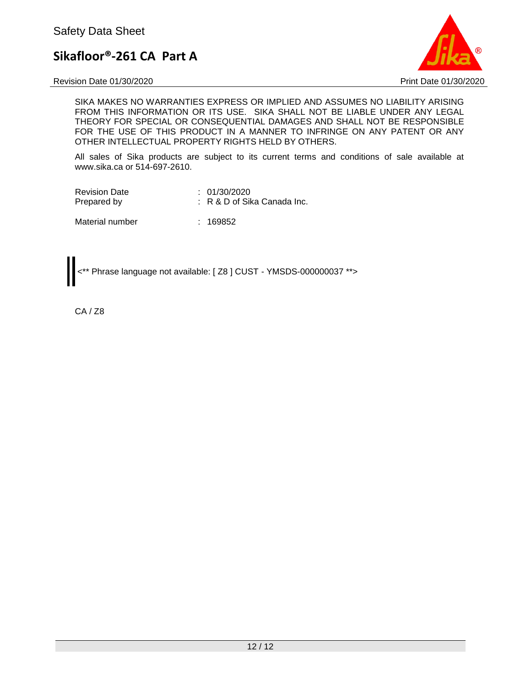Revision Date 01/30/2020 Print Date 01/30/2020



SIKA MAKES NO WARRANTIES EXPRESS OR IMPLIED AND ASSUMES NO LIABILITY ARISING FROM THIS INFORMATION OR ITS USE. SIKA SHALL NOT BE LIABLE UNDER ANY LEGAL THEORY FOR SPECIAL OR CONSEQUENTIAL DAMAGES AND SHALL NOT BE RESPONSIBLE FOR THE USE OF THIS PRODUCT IN A MANNER TO INFRINGE ON ANY PATENT OR ANY OTHER INTELLECTUAL PROPERTY RIGHTS HELD BY OTHERS.

All sales of Sika products are subject to its current terms and conditions of sale available at www.sika.ca or 514-697-2610.

| <b>Revision Date</b> | : 01/30/2020                   |
|----------------------|--------------------------------|
| Prepared by          | $: R \& D$ of Sika Canada Inc. |

Material number : 169852

<\*\* Phrase language not available: [ Z8 ] CUST - YMSDS-000000037 \*\*>

CA / Z8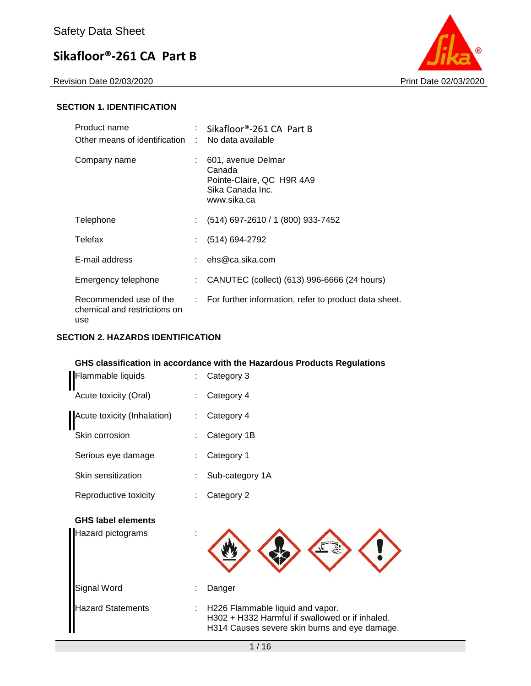

## **SECTION 1. IDENTIFICATION**

| Product name<br>Other means of identification                 | ÷  | Sikafloor®-261 CA Part B<br>No data available                                                |
|---------------------------------------------------------------|----|----------------------------------------------------------------------------------------------|
| Company name                                                  |    | 601, avenue Delmar<br>Canada<br>Pointe-Claire, QC H9R 4A9<br>Sika Canada Inc.<br>www.sika.ca |
| Telephone                                                     | ÷. | (514) 697-2610 / 1 (800) 933-7452                                                            |
| Telefax                                                       |    | (514) 694-2792                                                                               |
| E-mail address                                                |    | ehs@ca.sika.com                                                                              |
| Emergency telephone                                           | ÷. | CANUTEC (collect) (613) 996-6666 (24 hours)                                                  |
| Recommended use of the<br>chemical and restrictions on<br>use |    | : For further information, refer to product data sheet.                                      |

### **SECTION 2. HAZARDS IDENTIFICATION**

### **GHS classification in accordance with the Hazardous Products Regulations**

| Flammable liquids                              | Category 3                                                                                                                           |
|------------------------------------------------|--------------------------------------------------------------------------------------------------------------------------------------|
| Acute toxicity (Oral)                          | Category 4                                                                                                                           |
| Acute toxicity (Inhalation)                    | Category 4                                                                                                                           |
| Skin corrosion                                 | Category 1B                                                                                                                          |
| Serious eye damage                             | Category 1                                                                                                                           |
| Skin sensitization                             | Sub-category 1A                                                                                                                      |
| Reproductive toxicity                          | Category 2                                                                                                                           |
| <b>GHS label elements</b><br>Hazard pictograms |                                                                                                                                      |
| Signal Word                                    | Danger                                                                                                                               |
| <b>Hazard Statements</b>                       | H226 Flammable liquid and vapor.<br>H302 + H332 Harmful if swallowed or if inhaled.<br>H314 Causes severe skin burns and eye damage. |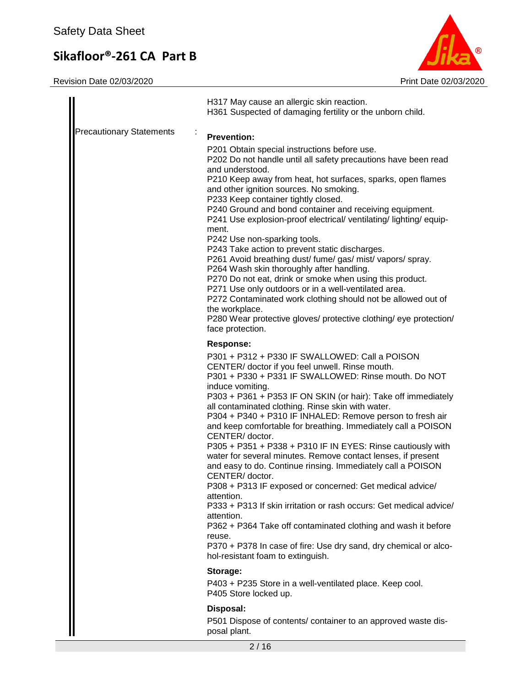

|                                 | H317 May cause an allergic skin reaction.<br>H361 Suspected of damaging fertility or the unborn child.                                                                                                                                                                                                                                                                                                                                                                                                                                                                                                                                                                                                                                                                                                                                                                                                                                                                                                                             |
|---------------------------------|------------------------------------------------------------------------------------------------------------------------------------------------------------------------------------------------------------------------------------------------------------------------------------------------------------------------------------------------------------------------------------------------------------------------------------------------------------------------------------------------------------------------------------------------------------------------------------------------------------------------------------------------------------------------------------------------------------------------------------------------------------------------------------------------------------------------------------------------------------------------------------------------------------------------------------------------------------------------------------------------------------------------------------|
| <b>Precautionary Statements</b> | <b>Prevention:</b><br>P201 Obtain special instructions before use.<br>P202 Do not handle until all safety precautions have been read<br>and understood.<br>P210 Keep away from heat, hot surfaces, sparks, open flames<br>and other ignition sources. No smoking.<br>P233 Keep container tightly closed.<br>P240 Ground and bond container and receiving equipment.<br>P241 Use explosion-proof electrical/ ventilating/ lighting/ equip-<br>ment.<br>P242 Use non-sparking tools.<br>P243 Take action to prevent static discharges.<br>P261 Avoid breathing dust/ fume/ gas/ mist/ vapors/ spray.<br>P264 Wash skin thoroughly after handling.<br>P270 Do not eat, drink or smoke when using this product.<br>P271 Use only outdoors or in a well-ventilated area.<br>P272 Contaminated work clothing should not be allowed out of<br>the workplace.<br>P280 Wear protective gloves/ protective clothing/ eye protection/<br>face protection.                                                                                     |
|                                 | Response:<br>P301 + P312 + P330 IF SWALLOWED: Call a POISON<br>CENTER/ doctor if you feel unwell. Rinse mouth.<br>P301 + P330 + P331 IF SWALLOWED: Rinse mouth. Do NOT<br>induce vomiting.<br>P303 + P361 + P353 IF ON SKIN (or hair): Take off immediately<br>all contaminated clothing. Rinse skin with water.<br>P304 + P340 + P310 IF INHALED: Remove person to fresh air<br>and keep comfortable for breathing. Immediately call a POISON<br>CENTER/doctor.<br>P305 + P351 + P338 + P310 IF IN EYES: Rinse cautiously with<br>water for several minutes. Remove contact lenses, if present<br>and easy to do. Continue rinsing. Immediately call a POISON<br>CENTER/doctor.<br>P308 + P313 IF exposed or concerned: Get medical advice/<br>attention.<br>P333 + P313 If skin irritation or rash occurs: Get medical advice/<br>attention.<br>P362 + P364 Take off contaminated clothing and wash it before<br>reuse.<br>P370 + P378 In case of fire: Use dry sand, dry chemical or alco-<br>hol-resistant foam to extinguish. |
|                                 | Storage:<br>P403 + P235 Store in a well-ventilated place. Keep cool.<br>P405 Store locked up.                                                                                                                                                                                                                                                                                                                                                                                                                                                                                                                                                                                                                                                                                                                                                                                                                                                                                                                                      |
|                                 | Disposal:<br>P501 Dispose of contents/ container to an approved waste dis-<br>posal plant.                                                                                                                                                                                                                                                                                                                                                                                                                                                                                                                                                                                                                                                                                                                                                                                                                                                                                                                                         |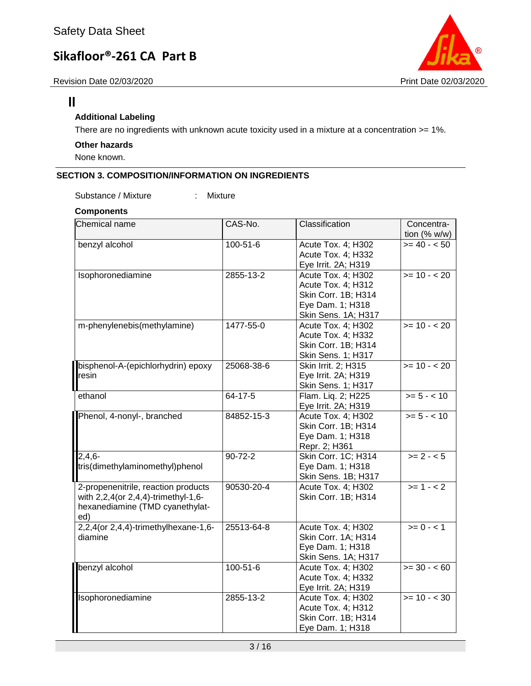



## $\mathbf{I}$

## **Additional Labeling**

There are no ingredients with unknown acute toxicity used in a mixture at a concentration >= 1%.

## **Other hazards**

None known.

## **SECTION 3. COMPOSITION/INFORMATION ON INGREDIENTS**

Substance / Mixture : Mixture

## **Components**

| lChemical name                                                                                                       | CAS-No.        | Classification                                                                                             | Concentra-<br>tion $(% w/w)$ |
|----------------------------------------------------------------------------------------------------------------------|----------------|------------------------------------------------------------------------------------------------------------|------------------------------|
| benzyl alcohol                                                                                                       | 100-51-6       | Acute Tox. 4; H302<br>Acute Tox. 4; H332<br>Eye Irrit. 2A; H319                                            | $>= 40 - 50$                 |
| Isophoronediamine                                                                                                    | 2855-13-2      | Acute Tox. 4; H302<br>Acute Tox. 4; H312<br>Skin Corr. 1B; H314<br>Eye Dam. 1; H318<br>Skin Sens. 1A; H317 | $= 10 - 20$                  |
| m-phenylenebis(methylamine)                                                                                          | 1477-55-0      | Acute Tox. 4; H302<br>Acute Tox. 4; H332<br>Skin Corr. 1B; H314<br>Skin Sens. 1; H317                      | $>= 10 - 20$                 |
| bisphenol-A-(epichlorhydrin) epoxy<br>resin                                                                          | 25068-38-6     | Skin Irrit. 2; H315<br>Eye Irrit. 2A; H319<br>Skin Sens. 1; H317                                           | $>= 10 - 20$                 |
| ethanol                                                                                                              | $64 - 17 - 5$  | Flam. Liq. 2; H225<br>Eye Irrit. 2A; H319                                                                  | $>= 5 - < 10$                |
| Phenol, 4-nonyl-, branched                                                                                           | 84852-15-3     | Acute Tox. 4; H302<br>Skin Corr. 1B; H314<br>Eye Dam. 1; H318<br>Repr. 2; H361                             | $>= 5 - < 10$                |
| $2,4,6-$<br>tris(dimethylaminomethyl)phenol                                                                          | $90 - 72 - 2$  | Skin Corr. 1C; H314<br>Eye Dam. 1; H318<br>Skin Sens. 1B; H317                                             | $>= 2 - 5$                   |
| 2-propenenitrile, reaction products<br>with 2,2,4(or 2,4,4)-trimethyl-1,6-<br>hexanediamine (TMD cyanethylat-<br>ed) | 90530-20-4     | Acute Tox. 4; H302<br>Skin Corr. 1B; H314                                                                  | $>= 1 - 2$                   |
| 2,2,4(or 2,4,4)-trimethylhexane-1,6-<br>diamine                                                                      | 25513-64-8     | Acute Tox. 4; H302<br>Skin Corr. 1A; H314<br>Eye Dam. 1; H318<br>Skin Sens. 1A; H317                       | $>= 0 - 1$                   |
| benzyl alcohol                                                                                                       | $100 - 51 - 6$ | Acute Tox. 4; H302<br>Acute Tox. 4; H332<br>Eye Irrit. 2A; H319                                            | $>= 30 - 60$                 |
| Isophoronediamine                                                                                                    | 2855-13-2      | Acute Tox. 4; H302<br>Acute Tox. 4; H312<br>Skin Corr. 1B; H314<br>Eye Dam. 1; H318                        | $>= 10 - < 30$               |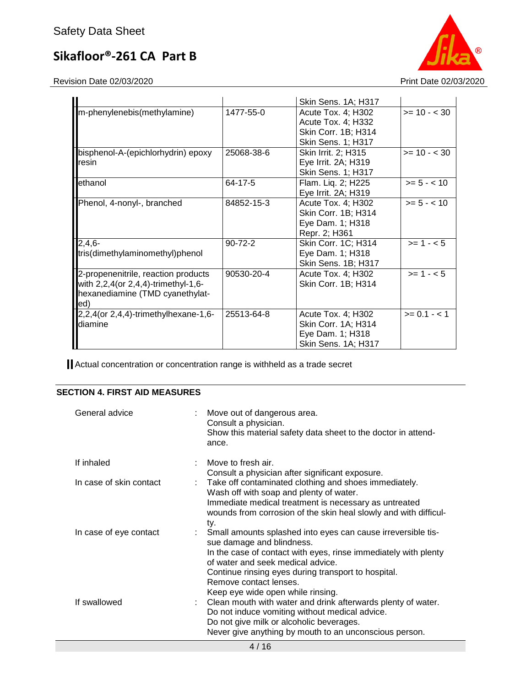Revision Date 02/03/2020 **Print Date 02/03/2020** 



|                                                                                                                       |               | Skin Sens. 1A; H317                                                                          |                |
|-----------------------------------------------------------------------------------------------------------------------|---------------|----------------------------------------------------------------------------------------------|----------------|
| m-phenylenebis(methylamine)                                                                                           | 1477-55-0     | Acute Tox. 4; H302<br>Acute Tox. 4; H332<br>Skin Corr. 1B; H314<br><b>Skin Sens. 1; H317</b> | $>= 10 - < 30$ |
| bisphenol-A-(epichlorhydrin) epoxy<br>resin                                                                           | 25068-38-6    | Skin Irrit. 2; H315<br>Eye Irrit. 2A; H319<br>Skin Sens. 1; H317                             | $>= 10 - < 30$ |
| lethanol                                                                                                              | 64-17-5       | Flam. Liq. 2; H225<br>Eye Irrit. 2A; H319                                                    | $>= 5 - < 10$  |
| Phenol, 4-nonyl-, branched                                                                                            | 84852-15-3    | Acute Tox. 4; H302<br>Skin Corr. 1B; H314<br>Eye Dam. 1; H318<br>Repr. 2; H361               | $>= 5 - < 10$  |
| 2,4,6-<br>tris(dimethylaminomethyl)phenol                                                                             | $90 - 72 - 2$ | Skin Corr. 1C; H314<br>Eye Dam. 1; H318<br>Skin Sens. 1B; H317                               | $>= 1 - 5$     |
| 2-propenenitrile, reaction products<br>with 2,2,4(or 2,4,4)-trimethyl-1,6-<br>hexanediamine (TMD cyanethylat-<br>led) | 90530-20-4    | Acute Tox. 4; H302<br>Skin Corr. 1B; H314                                                    | $>= 1 - 5$     |
| $2,2,4$ (or $2,4,4$ )-trimethylhexane-1,6-<br>diamine                                                                 | 25513-64-8    | Acute Tox. 4; H302<br>Skin Corr. 1A; H314<br>Eye Dam. 1; H318<br>Skin Sens. 1A; H317         | $>= 0.1 - 1.1$ |

Actual concentration or concentration range is withheld as a trade secret

## **SECTION 4. FIRST AID MEASURES**

| General advice          | Move out of dangerous area.<br>Consult a physician.<br>Show this material safety data sheet to the doctor in attend-<br>ance.                                                                                                                                                                                                              |
|-------------------------|--------------------------------------------------------------------------------------------------------------------------------------------------------------------------------------------------------------------------------------------------------------------------------------------------------------------------------------------|
| If inhaled              | Move to fresh air.<br>Consult a physician after significant exposure.                                                                                                                                                                                                                                                                      |
| In case of skin contact | Take off contaminated clothing and shoes immediately.<br>Wash off with soap and plenty of water.<br>Immediate medical treatment is necessary as untreated<br>wounds from corrosion of the skin heal slowly and with difficul-<br>ty.                                                                                                       |
| In case of eye contact  | Small amounts splashed into eyes can cause irreversible tis-<br>sue damage and blindness.<br>In the case of contact with eyes, rinse immediately with plenty<br>of water and seek medical advice.                                                                                                                                          |
| If swallowed            | Continue rinsing eyes during transport to hospital.<br>Remove contact lenses.<br>Keep eye wide open while rinsing.<br>Clean mouth with water and drink afterwards plenty of water.<br>Do not induce vomiting without medical advice.<br>Do not give milk or alcoholic beverages.<br>Never give anything by mouth to an unconscious person. |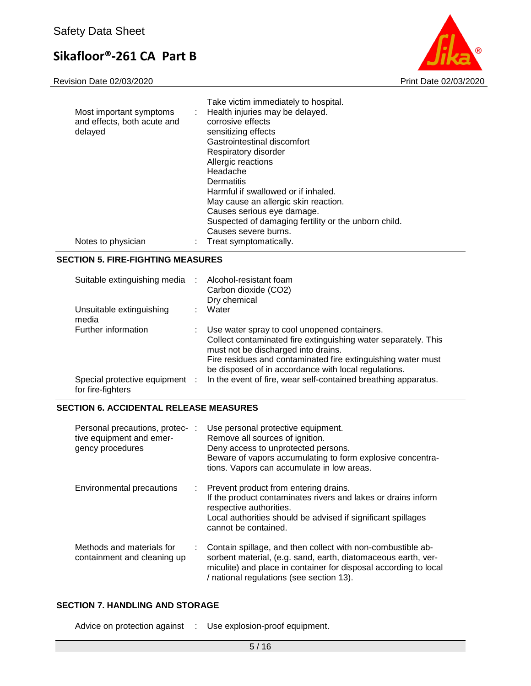Revision Date 02/03/2020 Print Date 02/03/2020



| Most important symptoms<br>and effects, both acute and<br>delayed | Take victim immediately to hospital.<br>Health injuries may be delayed.<br>÷.<br>corrosive effects<br>sensitizing effects<br>Gastrointestinal discomfort<br>Respiratory disorder<br>Allergic reactions<br>Headache<br>Dermatitis<br>Harmful if swallowed or if inhaled.<br>May cause an allergic skin reaction.<br>Causes serious eye damage.<br>Suspected of damaging fertility or the unborn child.<br>Causes severe burns. |
|-------------------------------------------------------------------|-------------------------------------------------------------------------------------------------------------------------------------------------------------------------------------------------------------------------------------------------------------------------------------------------------------------------------------------------------------------------------------------------------------------------------|
| Notes to physician                                                | : Treat symptomatically.                                                                                                                                                                                                                                                                                                                                                                                                      |

### **SECTION 5. FIRE-FIGHTING MEASURES**

| Suitable extinguishing media :                      | Alcohol-resistant foam<br>Carbon dioxide (CO2)<br>Dry chemical                                                                                                                                                                                                                |
|-----------------------------------------------------|-------------------------------------------------------------------------------------------------------------------------------------------------------------------------------------------------------------------------------------------------------------------------------|
| Unsuitable extinguishing<br>media                   | Water                                                                                                                                                                                                                                                                         |
| Further information                                 | Use water spray to cool unopened containers.<br>Collect contaminated fire extinguishing water separately. This<br>must not be discharged into drains.<br>Fire residues and contaminated fire extinguishing water must<br>be disposed of in accordance with local regulations. |
| Special protective equipment :<br>for fire-fighters | In the event of fire, wear self-contained breathing apparatus.                                                                                                                                                                                                                |

## **SECTION 6. ACCIDENTAL RELEASE MEASURES**

| Personal precautions, protec- :<br>tive equipment and emer-<br>gency procedures | Use personal protective equipment.<br>Remove all sources of ignition.<br>Deny access to unprotected persons.<br>Beware of vapors accumulating to form explosive concentra-<br>tions. Vapors can accumulate in low areas.                     |
|---------------------------------------------------------------------------------|----------------------------------------------------------------------------------------------------------------------------------------------------------------------------------------------------------------------------------------------|
| Environmental precautions                                                       | : Prevent product from entering drains.<br>If the product contaminates rivers and lakes or drains inform<br>respective authorities.<br>Local authorities should be advised if significant spillages<br>cannot be contained.                  |
| Methods and materials for<br>containment and cleaning up                        | Contain spillage, and then collect with non-combustible ab-<br>sorbent material, (e.g. sand, earth, diatomaceous earth, ver-<br>miculite) and place in container for disposal according to local<br>/ national regulations (see section 13). |

### **SECTION 7. HANDLING AND STORAGE**

Advice on protection against : Use explosion-proof equipment.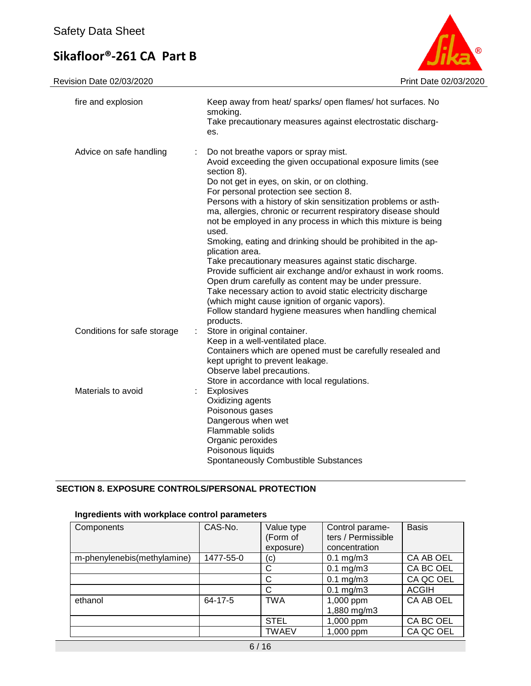Revision Date 02/03/2020 Print Date 02/03/2020



| fire and explosion           | Keep away from heat/ sparks/ open flames/ hot surfaces. No<br>smoking.<br>Take precautionary measures against electrostatic discharg-<br>es.                                                                                                                                                                                                                                                                                                                                                                                                                                                                                                                                                                                                                                                                                                                                               |
|------------------------------|--------------------------------------------------------------------------------------------------------------------------------------------------------------------------------------------------------------------------------------------------------------------------------------------------------------------------------------------------------------------------------------------------------------------------------------------------------------------------------------------------------------------------------------------------------------------------------------------------------------------------------------------------------------------------------------------------------------------------------------------------------------------------------------------------------------------------------------------------------------------------------------------|
| Advice on safe handling<br>÷ | Do not breathe vapors or spray mist.<br>Avoid exceeding the given occupational exposure limits (see<br>section 8).<br>Do not get in eyes, on skin, or on clothing.<br>For personal protection see section 8.<br>Persons with a history of skin sensitization problems or asth-<br>ma, allergies, chronic or recurrent respiratory disease should<br>not be employed in any process in which this mixture is being<br>used.<br>Smoking, eating and drinking should be prohibited in the ap-<br>plication area.<br>Take precautionary measures against static discharge.<br>Provide sufficient air exchange and/or exhaust in work rooms.<br>Open drum carefully as content may be under pressure.<br>Take necessary action to avoid static electricity discharge<br>(which might cause ignition of organic vapors).<br>Follow standard hygiene measures when handling chemical<br>products. |
| Conditions for safe storage  | Store in original container.<br>Keep in a well-ventilated place.<br>Containers which are opened must be carefully resealed and<br>kept upright to prevent leakage.<br>Observe label precautions.<br>Store in accordance with local regulations.                                                                                                                                                                                                                                                                                                                                                                                                                                                                                                                                                                                                                                            |
| Materials to avoid           | Explosives<br>Oxidizing agents<br>Poisonous gases<br>Dangerous when wet<br>Flammable solids<br>Organic peroxides<br>Poisonous liquids<br>Spontaneously Combustible Substances                                                                                                                                                                                                                                                                                                                                                                                                                                                                                                                                                                                                                                                                                                              |

## **SECTION 8. EXPOSURE CONTROLS/PERSONAL PROTECTION**

## **Ingredients with workplace control parameters**

| Components                  | CAS-No.   | Value type   | Control parame-      | <b>Basis</b> |
|-----------------------------|-----------|--------------|----------------------|--------------|
|                             |           | (Form of     | ters / Permissible   |              |
|                             |           | exposure)    | concentration        |              |
| m-phenylenebis(methylamine) | 1477-55-0 | (c)          | $0.1$ mg/m $3$       | CA AB OEL    |
|                             |           | C            | $0.1 \text{ mg/m}$ 3 | CA BC OEL    |
|                             |           | C            | $0.1$ mg/m $3$       | CA QC OEL    |
|                             |           | C            | $0.1$ mg/m $3$       | <b>ACGIH</b> |
| ethanol                     | 64-17-5   | <b>TWA</b>   | 1,000 ppm            | CA AB OEL    |
|                             |           |              | 1,880 mg/m3          |              |
|                             |           | <b>STEL</b>  | 1,000 ppm            | CA BC OEL    |
|                             |           | <b>TWAEV</b> | 1,000 ppm            | CA QC OEL    |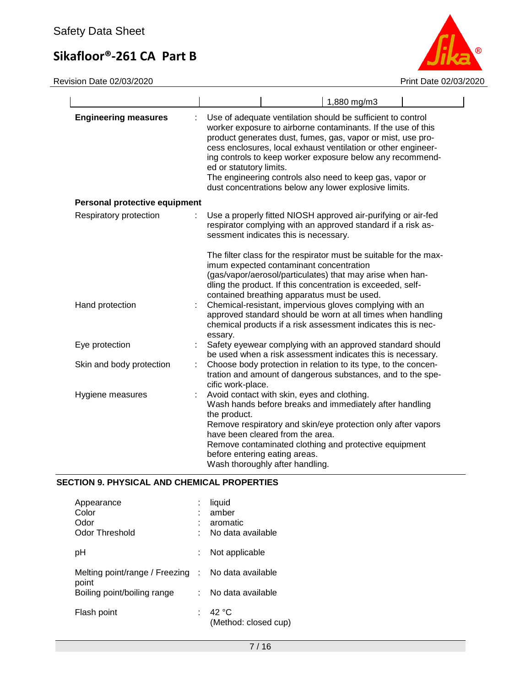Revision Date 02/03/2020 **Print Date 02/03/2020** 



|                               | 1,880 mg/m3                                                                                                                                                                                                                                                                                                                                                                                                                                                              |
|-------------------------------|--------------------------------------------------------------------------------------------------------------------------------------------------------------------------------------------------------------------------------------------------------------------------------------------------------------------------------------------------------------------------------------------------------------------------------------------------------------------------|
| <b>Engineering measures</b>   | Use of adequate ventilation should be sufficient to control<br>worker exposure to airborne contaminants. If the use of this<br>product generates dust, fumes, gas, vapor or mist, use pro-<br>cess enclosures, local exhaust ventilation or other engineer-<br>ing controls to keep worker exposure below any recommend-<br>ed or statutory limits.<br>The engineering controls also need to keep gas, vapor or<br>dust concentrations below any lower explosive limits. |
| Personal protective equipment |                                                                                                                                                                                                                                                                                                                                                                                                                                                                          |
| Respiratory protection        | Use a properly fitted NIOSH approved air-purifying or air-fed<br>respirator complying with an approved standard if a risk as-<br>sessment indicates this is necessary.                                                                                                                                                                                                                                                                                                   |
|                               | The filter class for the respirator must be suitable for the max-<br>imum expected contaminant concentration<br>(gas/vapor/aerosol/particulates) that may arise when han-<br>dling the product. If this concentration is exceeded, self-<br>contained breathing apparatus must be used.                                                                                                                                                                                  |
| Hand protection               | Chemical-resistant, impervious gloves complying with an<br>approved standard should be worn at all times when handling<br>chemical products if a risk assessment indicates this is nec-<br>essary.                                                                                                                                                                                                                                                                       |
| Eye protection                | Safety eyewear complying with an approved standard should<br>be used when a risk assessment indicates this is necessary.                                                                                                                                                                                                                                                                                                                                                 |
| Skin and body protection<br>t | Choose body protection in relation to its type, to the concen-<br>tration and amount of dangerous substances, and to the spe-<br>cific work-place.                                                                                                                                                                                                                                                                                                                       |
| Hygiene measures              | Avoid contact with skin, eyes and clothing.<br>Wash hands before breaks and immediately after handling<br>the product.<br>Remove respiratory and skin/eye protection only after vapors<br>have been cleared from the area.<br>Remove contaminated clothing and protective equipment<br>before entering eating areas.<br>Wash thoroughly after handling.                                                                                                                  |

## **SECTION 9. PHYSICAL AND CHEMICAL PROPERTIES**

| Appearance<br>Color<br>Odor<br>Odor Threshold | t   | liquid<br>amber<br>aromatic<br>No data available |
|-----------------------------------------------|-----|--------------------------------------------------|
| рH                                            |     | Not applicable                                   |
| Melting point/range / Freezing :              |     | No data available                                |
| point<br>Boiling point/boiling range          | t i | No data available                                |
| Flash point                                   |     | 42 $\degree$ C<br>(Method: closed cup)           |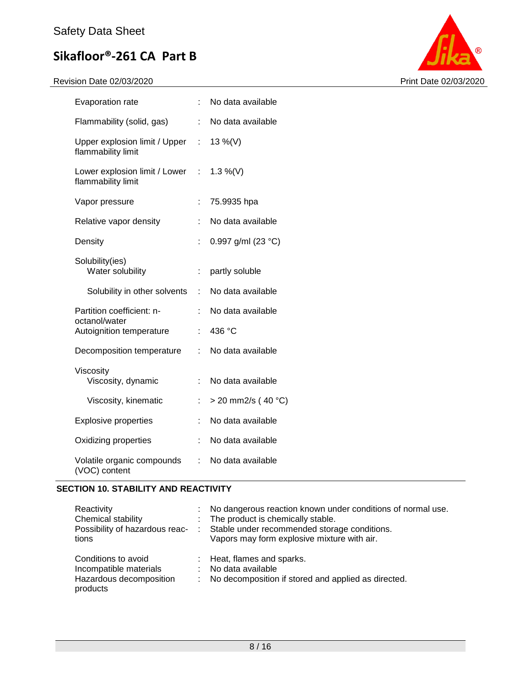Revision Date 02/03/2020 **Print Date 02/03/2020** 



| Evaporation rate                                      |    | No data available    |
|-------------------------------------------------------|----|----------------------|
| Flammability (solid, gas)                             | t. | No data available    |
| Upper explosion limit / Upper :<br>flammability limit |    | 13 %(V)              |
| Lower explosion limit / Lower :<br>flammability limit |    | 1.3 %(V)             |
| Vapor pressure                                        | ÷. | 75.9935 hpa          |
| Relative vapor density                                |    | No data available    |
| Density                                               | t  | 0.997 g/ml (23 °C)   |
| Solubility(ies)<br>Water solubility                   | ÷. | partly soluble       |
| Solubility in other solvents                          | t. | No data available    |
| Partition coefficient: n-<br>octanol/water            | ÷. | No data available    |
| Autoignition temperature                              | ÷  | 436 °C               |
| Decomposition temperature                             | ÷. | No data available    |
| Viscosity<br>Viscosity, dynamic                       | t. | No data available    |
| Viscosity, kinematic                                  | ÷. | $>$ 20 mm2/s (40 °C) |
| <b>Explosive properties</b>                           | ÷. | No data available    |
| Oxidizing properties                                  | t. | No data available    |
| Volatile organic compounds<br>(VOC) content           | t. | No data available    |

## **SECTION 10. STABILITY AND REACTIVITY**

| Reactivity<br>Chemical stability<br>Possibility of hazardous reac-<br>tions          | -11 | No dangerous reaction known under conditions of normal use.<br>: The product is chemically stable.<br>Stable under recommended storage conditions.<br>Vapors may form explosive mixture with air. |
|--------------------------------------------------------------------------------------|-----|---------------------------------------------------------------------------------------------------------------------------------------------------------------------------------------------------|
| Conditions to avoid<br>Incompatible materials<br>Hazardous decomposition<br>products | ÷.  | : Heat, flames and sparks.<br>No data available<br>No decomposition if stored and applied as directed.                                                                                            |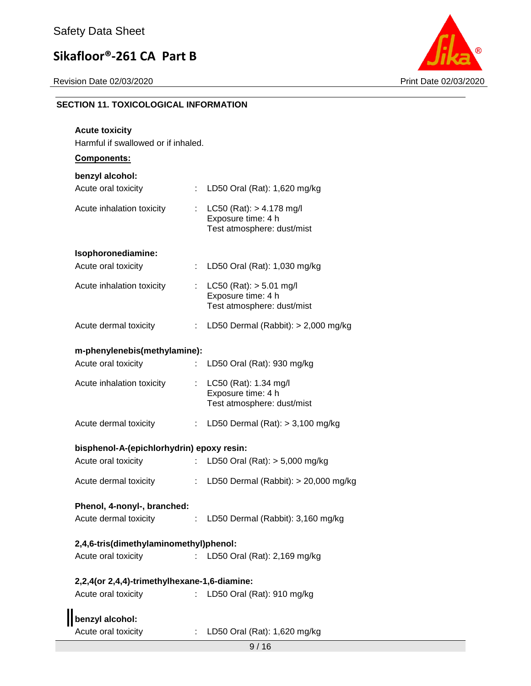

## **SECTION 11. TOXICOLOGICAL INFORMATION**

| <b>Acute toxicity</b>                        |    |                                                                                 |  |  |  |
|----------------------------------------------|----|---------------------------------------------------------------------------------|--|--|--|
| Harmful if swallowed or if inhaled.          |    |                                                                                 |  |  |  |
| Components:                                  |    |                                                                                 |  |  |  |
| benzyl alcohol:<br>Acute oral toxicity       |    | : LD50 Oral (Rat): 1,620 mg/kg                                                  |  |  |  |
| Acute inhalation toxicity                    | ÷. | LC50 (Rat): $> 4.178$ mg/l<br>Exposure time: 4 h<br>Test atmosphere: dust/mist  |  |  |  |
| Isophoronediamine:                           |    |                                                                                 |  |  |  |
| Acute oral toxicity                          |    | LD50 Oral (Rat): 1,030 mg/kg                                                    |  |  |  |
| Acute inhalation toxicity                    |    | : LC50 (Rat): $> 5.01$ mg/l<br>Exposure time: 4 h<br>Test atmosphere: dust/mist |  |  |  |
| Acute dermal toxicity                        | ÷. | LD50 Dermal (Rabbit): $> 2,000$ mg/kg                                           |  |  |  |
| m-phenylenebis(methylamine):                 |    |                                                                                 |  |  |  |
| Acute oral toxicity                          |    | : LD50 Oral (Rat): 930 mg/kg                                                    |  |  |  |
| Acute inhalation toxicity                    |    | : LC50 (Rat): 1.34 mg/l<br>Exposure time: 4 h<br>Test atmosphere: dust/mist     |  |  |  |
| Acute dermal toxicity                        |    | : LD50 Dermal (Rat): $> 3,100$ mg/kg                                            |  |  |  |
| bisphenol-A-(epichlorhydrin) epoxy resin:    |    |                                                                                 |  |  |  |
| Acute oral toxicity                          |    | LD50 Oral (Rat): > 5,000 mg/kg                                                  |  |  |  |
| Acute dermal toxicity                        |    | : LD50 Dermal (Rabbit): > 20,000 mg/kg                                          |  |  |  |
| Phenol, 4-nonyl-, branched:                  |    |                                                                                 |  |  |  |
| Acute dermal toxicity                        |    | : LD50 Dermal (Rabbit): 3,160 mg/kg                                             |  |  |  |
| 2,4,6-tris(dimethylaminomethyl)phenol:       |    |                                                                                 |  |  |  |
| Acute oral toxicity                          |    | : LD50 Oral (Rat): 2,169 mg/kg                                                  |  |  |  |
| 2,2,4(or 2,4,4)-trimethylhexane-1,6-diamine: |    |                                                                                 |  |  |  |
| Acute oral toxicity                          | t. | LD50 Oral (Rat): 910 mg/kg                                                      |  |  |  |
| benzyl alcohol:                              |    |                                                                                 |  |  |  |
| Acute oral toxicity                          |    | LD50 Oral (Rat): 1,620 mg/kg                                                    |  |  |  |
|                                              |    | 9/16                                                                            |  |  |  |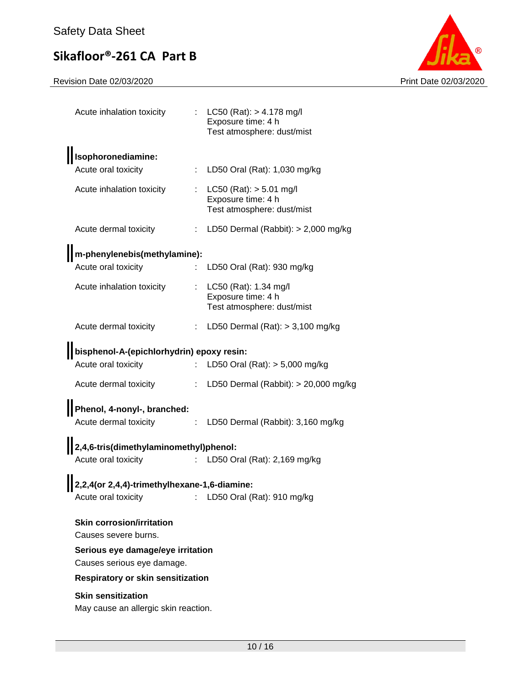

| Acute inhalation toxicity                                         |    | : LC50 (Rat): $> 4.178$ mg/l<br>Exposure time: 4 h<br>Test atmosphere: dust/mist |
|-------------------------------------------------------------------|----|----------------------------------------------------------------------------------|
| Isophoronediamine:                                                |    |                                                                                  |
| Acute oral toxicity                                               |    | LD50 Oral (Rat): 1,030 mg/kg                                                     |
| Acute inhalation toxicity                                         | ÷. | $LC50$ (Rat): $> 5.01$ mg/l<br>Exposure time: 4 h<br>Test atmosphere: dust/mist  |
| Acute dermal toxicity                                             | ÷. | LD50 Dermal (Rabbit): $> 2,000$ mg/kg                                            |
| m-phenylenebis(methylamine):                                      |    |                                                                                  |
| Acute oral toxicity                                               |    | LD50 Oral (Rat): 930 mg/kg                                                       |
| Acute inhalation toxicity                                         | ÷  | LC50 (Rat): 1.34 mg/l<br>Exposure time: 4 h<br>Test atmosphere: dust/mist        |
| Acute dermal toxicity                                             |    | : LD50 Dermal $(Rat):$ > 3,100 mg/kg                                             |
| bisphenol-A-(epichlorhydrin) epoxy resin:                         |    |                                                                                  |
| Acute oral toxicity                                               |    | LD50 Oral (Rat): > 5,000 mg/kg                                                   |
| Acute dermal toxicity                                             | ÷. | LD50 Dermal (Rabbit): $> 20,000$ mg/kg                                           |
| Phenol, 4-nonyl-, branched:                                       |    |                                                                                  |
| Acute dermal toxicity                                             | ÷. | LD50 Dermal (Rabbit): 3,160 mg/kg                                                |
| 2,4,6-tris(dimethylaminomethyl)phenol:                            |    |                                                                                  |
| Acute oral toxicity                                               |    | : LD50 Oral (Rat): 2,169 mg/kg                                                   |
| 2,2,4(or 2,4,4)-trimethylhexane-1,6-diamine:                      |    |                                                                                  |
| Acute oral toxicity                                               |    | LD50 Oral (Rat): 910 mg/kg                                                       |
| <b>Skin corrosion/irritation</b>                                  |    |                                                                                  |
| Causes severe burns.                                              |    |                                                                                  |
| Serious eye damage/eye irritation                                 |    |                                                                                  |
| Causes serious eye damage.                                        |    |                                                                                  |
| <b>Respiratory or skin sensitization</b>                          |    |                                                                                  |
| <b>Skin sensitization</b><br>May cause an allergic skin reaction. |    |                                                                                  |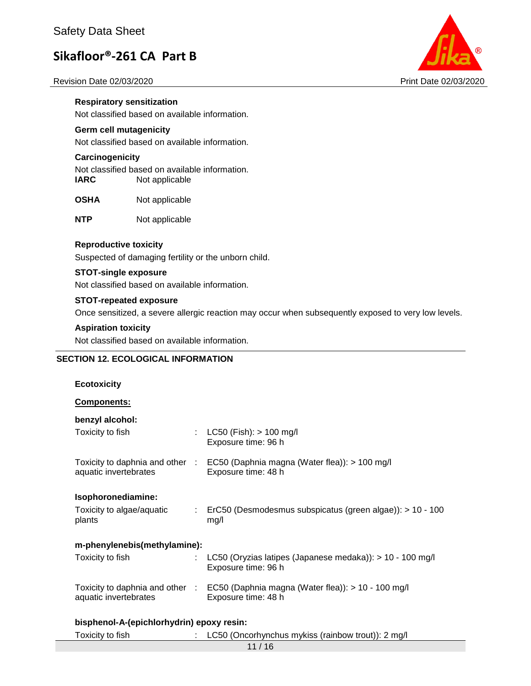#### Revision Date 02/03/2020 Print Date 02/03/2020



**Respiratory sensitization** Not classified based on available information.

## **Germ cell mutagenicity**

Not classified based on available information.

### **Carcinogenicity**

Not classified based on available information. **IARC** Not applicable

**OSHA** Not applicable

**NTP** Not applicable

### **Reproductive toxicity**

Suspected of damaging fertility or the unborn child.

#### **STOT-single exposure**

Not classified based on available information.

## **STOT-repeated exposure**

Once sensitized, a severe allergic reaction may occur when subsequently exposed to very low levels.

#### **Aspiration toxicity**

Not classified based on available information.

## **SECTION 12. ECOLOGICAL INFORMATION**

| <b>Ecotoxicity</b>                        |   |                                                                                                           |  |  |
|-------------------------------------------|---|-----------------------------------------------------------------------------------------------------------|--|--|
| <b>Components:</b>                        |   |                                                                                                           |  |  |
| benzyl alcohol:                           |   |                                                                                                           |  |  |
| Toxicity to fish                          | ÷ | $LC50$ (Fish): $> 100$ mg/l<br>Exposure time: 96 h                                                        |  |  |
| aquatic invertebrates                     |   | Toxicity to daphnia and other : EC50 (Daphnia magna (Water flea)): > 100 mg/l<br>Exposure time: 48 h      |  |  |
| Isophoronediamine:                        |   |                                                                                                           |  |  |
| Toxicity to algae/aquatic<br>plants       | ÷ | ErC50 (Desmodesmus subspicatus (green algae)): > 10 - 100<br>mg/l                                         |  |  |
| m-phenylenebis(methylamine):              |   |                                                                                                           |  |  |
| Toxicity to fish                          |   | LC50 (Oryzias latipes (Japanese medaka)): $> 10 - 100$ mg/l<br>Exposure time: 96 h                        |  |  |
| aquatic invertebrates                     |   | Toxicity to daphnia and other : EC50 (Daphnia magna (Water flea)): > 10 - 100 mg/l<br>Exposure time: 48 h |  |  |
| bisphenol-A-(epichlorhydrin) epoxy resin: |   |                                                                                                           |  |  |

| Toxicity to fish | LC50 (Oncorhynchus mykiss (rainbow trout)): 2 mg/l |
|------------------|----------------------------------------------------|
|                  |                                                    |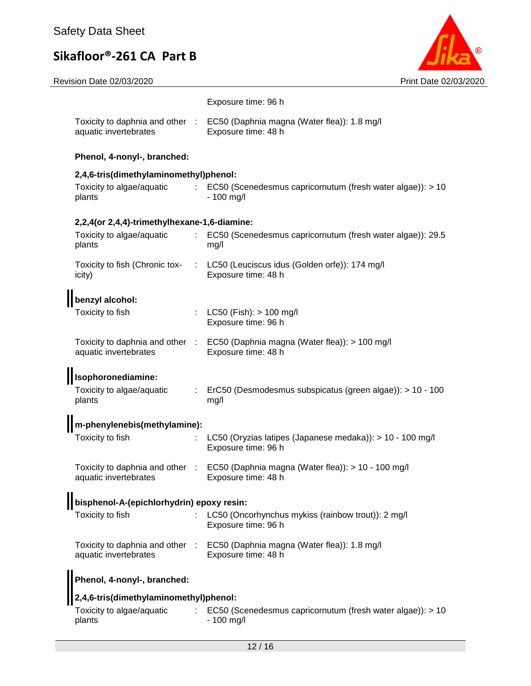| Revision Date 02/03/2020                              | Print Date 02/03/2020                                                                                     |
|-------------------------------------------------------|-----------------------------------------------------------------------------------------------------------|
|                                                       | Exposure time: 96 h                                                                                       |
| aquatic invertebrates                                 | Toxicity to daphnia and other : EC50 (Daphnia magna (Water flea)): 1.8 mg/l<br>Exposure time: 48 h        |
| Phenol, 4-nonyl-, branched:                           |                                                                                                           |
| 2,4,6-tris(dimethylaminomethyl)phenol:                |                                                                                                           |
| Toxicity to algae/aquatic<br>$\mathbb{R}^n$<br>plants | EC50 (Scenedesmus capricornutum (fresh water algae)): > 10<br>$-100$ mg/l                                 |
| 2,2,4(or 2,4,4)-trimethylhexane-1,6-diamine:          |                                                                                                           |
| Toxicity to algae/aquatic<br>÷.<br>plants             | EC50 (Scenedesmus capricornutum (fresh water algae)): 29.5<br>mg/l                                        |
| Toxicity to fish (Chronic tox-<br>icity)              | : LC50 (Leuciscus idus (Golden orfe)): 174 mg/l<br>Exposure time: 48 h                                    |
| benzyl alcohol:                                       |                                                                                                           |
| Toxicity to fish                                      | $LC50$ (Fish): $> 100$ mg/l<br>Exposure time: 96 h                                                        |
| aquatic invertebrates                                 | Toxicity to daphnia and other : EC50 (Daphnia magna (Water flea)): > 100 mg/l<br>Exposure time: 48 h      |
| Isophoronediamine:                                    |                                                                                                           |
| Toxicity to algae/aquatic<br>plants                   | ErC50 (Desmodesmus subspicatus (green algae)): > 10 - 100<br>mg/l                                         |
| m-phenylenebis(methylamine):                          |                                                                                                           |
| Toxicity to fish                                      | LC50 (Oryzias latipes (Japanese medaka)): > 10 - 100 mg/l<br>Exposure time: 96 h                          |
| aquatic invertebrates                                 | Toxicity to daphnia and other : EC50 (Daphnia magna (Water flea)): > 10 - 100 mg/l<br>Exposure time: 48 h |
| bisphenol-A-(epichlorhydrin) epoxy resin:             |                                                                                                           |
| Toxicity to fish                                      | LC50 (Oncorhynchus mykiss (rainbow trout)): 2 mg/l<br>Exposure time: 96 h                                 |
| aquatic invertebrates                                 | Toxicity to daphnia and other : EC50 (Daphnia magna (Water flea)): 1.8 mg/l<br>Exposure time: 48 h        |
| Phenol, 4-nonyl-, branched:                           |                                                                                                           |
| 2,4,6-tris(dimethylaminomethyl)phenol:                |                                                                                                           |
|                                                       |                                                                                                           |

| Toxicity to algae/aquatic | EC50 (Scenedesmus capricornutum (fresh water algae)): > 10 |
|---------------------------|------------------------------------------------------------|
| plants                    | - 100 mg/l                                                 |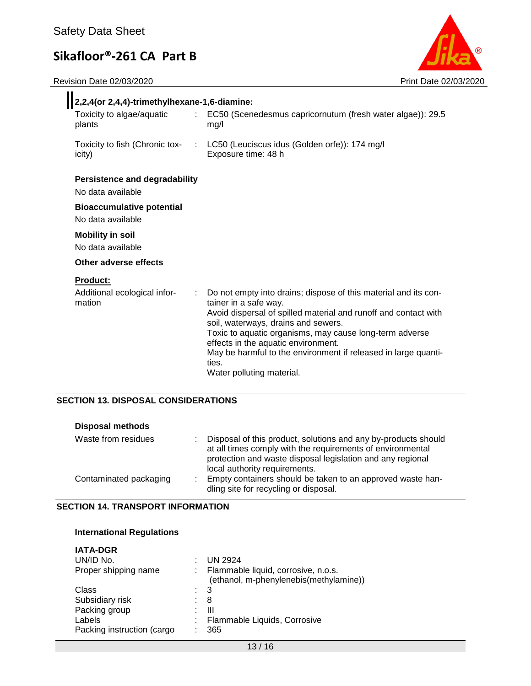Revision Date 02/03/2020 **Print Date 02/03/2020** 



| 2,2,4(or 2,4,4)-trimethylhexane-1,6-diamine:                                                          |                                                                                                                                                                                                                                                                                                                                                                                                              |  |  |  |
|-------------------------------------------------------------------------------------------------------|--------------------------------------------------------------------------------------------------------------------------------------------------------------------------------------------------------------------------------------------------------------------------------------------------------------------------------------------------------------------------------------------------------------|--|--|--|
| Toxicity to algae/aquatic<br>$\mathbb{R}^{\mathbb{Z}}$<br>plants                                      | EC50 (Scenedesmus capricornutum (fresh water algae)): 29.5<br>mg/l                                                                                                                                                                                                                                                                                                                                           |  |  |  |
| icity)                                                                                                | Toxicity to fish (Chronic tox- : LC50 (Leuciscus idus (Golden orfe)): 174 mg/l<br>Exposure time: 48 h                                                                                                                                                                                                                                                                                                        |  |  |  |
| <b>Persistence and degradability</b><br>No data available                                             |                                                                                                                                                                                                                                                                                                                                                                                                              |  |  |  |
| <b>Bioaccumulative potential</b><br>No data available<br><b>Mobility in soil</b><br>No data available |                                                                                                                                                                                                                                                                                                                                                                                                              |  |  |  |
| Other adverse effects                                                                                 |                                                                                                                                                                                                                                                                                                                                                                                                              |  |  |  |
| <b>Product:</b><br>Additional ecological infor-<br>$\mathbb{R}^{\mathbb{Z}}$<br>mation                | Do not empty into drains; dispose of this material and its con-<br>tainer in a safe way.<br>Avoid dispersal of spilled material and runoff and contact with<br>soil, waterways, drains and sewers.<br>Toxic to aquatic organisms, may cause long-term adverse<br>effects in the aquatic environment.<br>May be harmful to the environment if released in large quanti-<br>ties.<br>Water polluting material. |  |  |  |

## **SECTION 13. DISPOSAL CONSIDERATIONS**

| <b>Disposal methods</b> |  |
|-------------------------|--|
|-------------------------|--|

| Waste from residues    |   | Disposal of this product, solutions and any by-products should<br>at all times comply with the requirements of environmental<br>protection and waste disposal legislation and any regional<br>local authority requirements. |
|------------------------|---|-----------------------------------------------------------------------------------------------------------------------------------------------------------------------------------------------------------------------------|
| Contaminated packaging | ÷ | Empty containers should be taken to an approved waste han-<br>dling site for recycling or disposal.                                                                                                                         |

## **SECTION 14. TRANSPORT INFORMATION**

## **International Regulations**

| <b>IATA-DGR</b>            |                                        |
|----------------------------|----------------------------------------|
| UN/ID No.                  | <b>UN 2924</b>                         |
| Proper shipping name       | Flammable liquid, corrosive, n.o.s.    |
|                            | (ethanol, m-phenylenebis(methylamine)) |
| Class                      | : 3                                    |
| Subsidiary risk            | 8                                      |
| Packing group              | Ш                                      |
| Labels                     | Flammable Liquids, Corrosive           |
| Packing instruction (cargo | 365                                    |
|                            |                                        |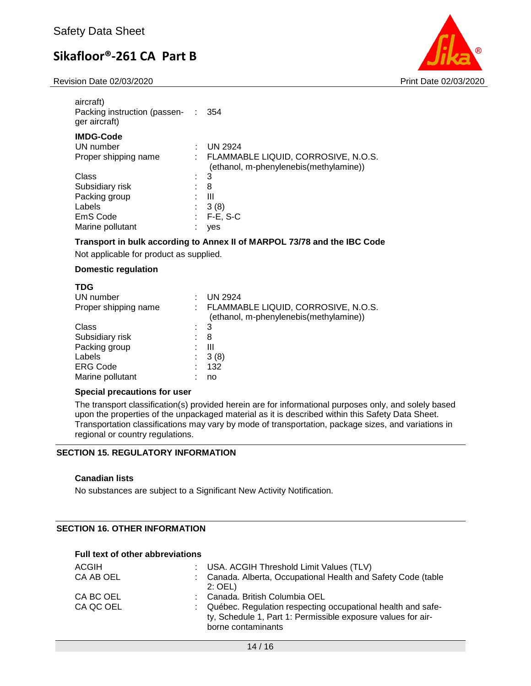Revision Date 02/03/2020 Print Date 02/03/2020



| aircraft)<br>Packing instruction (passen- :<br>ger aircraft) |    | 354                                                                           |
|--------------------------------------------------------------|----|-------------------------------------------------------------------------------|
| <b>IMDG-Code</b>                                             |    |                                                                               |
| UN number                                                    |    | <b>UN 2924</b>                                                                |
| Proper shipping name                                         |    | FLAMMABLE LIQUID, CORROSIVE, N.O.S.<br>(ethanol, m-phenylenebis(methylamine)) |
| Class                                                        | t. | 3                                                                             |
| Subsidiary risk                                              |    | 8                                                                             |
| Packing group                                                |    | $\mathbf{III}$                                                                |
| Labels                                                       |    | 3(8)                                                                          |
| EmS Code                                                     |    | $F-E$ , S-C                                                                   |
| Marine pollutant                                             |    | yes                                                                           |
|                                                              |    |                                                                               |

## **Transport in bulk according to Annex II of MARPOL 73/78 and the IBC Code**

Not applicable for product as supplied.

### **Domestic regulation**

## **TDG**

| UN number                  | <b>UN 2924</b>                                                                |
|----------------------------|-------------------------------------------------------------------------------|
| Proper shipping name<br>t. | FLAMMABLE LIQUID, CORROSIVE, N.O.S.<br>(ethanol, m-phenylenebis(methylamine)) |
| Class                      | -3                                                                            |
| Subsidiary risk            | 8                                                                             |
| Packing group              | Ш                                                                             |
| Labels                     | 3(8)                                                                          |
| <b>ERG Code</b>            | 132                                                                           |
| Marine pollutant           | no                                                                            |

#### **Special precautions for user**

The transport classification(s) provided herein are for informational purposes only, and solely based upon the properties of the unpackaged material as it is described within this Safety Data Sheet. Transportation classifications may vary by mode of transportation, package sizes, and variations in regional or country regulations.

## **SECTION 15. REGULATORY INFORMATION**

#### **Canadian lists**

No substances are subject to a Significant New Activity Notification.

## **SECTION 16. OTHER INFORMATION**

### **Full text of other abbreviations**

| ACGIH                  | : USA. ACGIH Threshold Limit Values (TLV)                                                                                                                                           |
|------------------------|-------------------------------------------------------------------------------------------------------------------------------------------------------------------------------------|
| CA AB OEL              | : Canada. Alberta, Occupational Health and Safety Code (table<br>$2:$ OEL)                                                                                                          |
| CA BC OEL<br>CA QC OEL | Canada. British Columbia OEL<br>: Québec. Regulation respecting occupational health and safe-<br>ty, Schedule 1, Part 1: Permissible exposure values for air-<br>borne contaminants |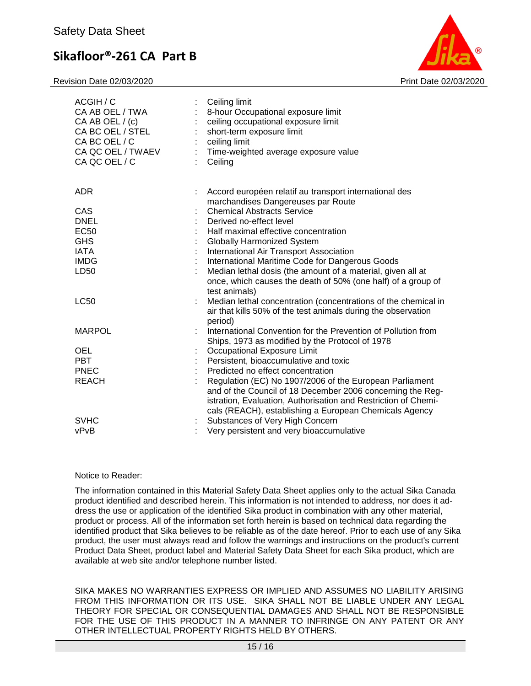Revision Date 02/03/2020 Print Date 02/03/2020



| ACGIH / C<br>CA AB OEL / TWA<br>CA AB OEL / (c)<br>CA BC OEL / STEL<br>CA BC OEL / C<br>CA QC OEL / TWAEV<br>CA QC OEL / C | $\mathcal{E}^{\mathcal{E}}$ | Ceiling limit<br>8-hour Occupational exposure limit<br>ceiling occupational exposure limit<br>short-term exposure limit<br>ceiling limit<br>Time-weighted average exposure value<br>Ceiling                                                       |
|----------------------------------------------------------------------------------------------------------------------------|-----------------------------|---------------------------------------------------------------------------------------------------------------------------------------------------------------------------------------------------------------------------------------------------|
| <b>ADR</b>                                                                                                                 | ÷                           | Accord européen relatif au transport international des<br>marchandises Dangereuses par Route                                                                                                                                                      |
| CAS                                                                                                                        |                             | <b>Chemical Abstracts Service</b>                                                                                                                                                                                                                 |
| <b>DNEL</b>                                                                                                                |                             | Derived no-effect level                                                                                                                                                                                                                           |
| <b>EC50</b>                                                                                                                |                             | Half maximal effective concentration                                                                                                                                                                                                              |
| <b>GHS</b>                                                                                                                 |                             | <b>Globally Harmonized System</b>                                                                                                                                                                                                                 |
| <b>IATA</b>                                                                                                                |                             | International Air Transport Association                                                                                                                                                                                                           |
| <b>IMDG</b>                                                                                                                |                             | International Maritime Code for Dangerous Goods                                                                                                                                                                                                   |
| LD50                                                                                                                       |                             | Median lethal dosis (the amount of a material, given all at<br>once, which causes the death of 50% (one half) of a group of<br>test animals)                                                                                                      |
| <b>LC50</b>                                                                                                                |                             | Median lethal concentration (concentrations of the chemical in<br>air that kills 50% of the test animals during the observation                                                                                                                   |
| <b>MARPOL</b>                                                                                                              |                             | period)<br>International Convention for the Prevention of Pollution from<br>Ships, 1973 as modified by the Protocol of 1978                                                                                                                       |
| OEL                                                                                                                        |                             | Occupational Exposure Limit                                                                                                                                                                                                                       |
| <b>PBT</b>                                                                                                                 |                             | Persistent, bioaccumulative and toxic                                                                                                                                                                                                             |
| <b>PNEC</b>                                                                                                                |                             | Predicted no effect concentration                                                                                                                                                                                                                 |
| <b>REACH</b>                                                                                                               |                             | Regulation (EC) No 1907/2006 of the European Parliament<br>and of the Council of 18 December 2006 concerning the Reg-<br>istration, Evaluation, Authorisation and Restriction of Chemi-<br>cals (REACH), establishing a European Chemicals Agency |
| <b>SVHC</b>                                                                                                                |                             | Substances of Very High Concern                                                                                                                                                                                                                   |
| vPvB                                                                                                                       |                             | Very persistent and very bioaccumulative                                                                                                                                                                                                          |

## Notice to Reader:

The information contained in this Material Safety Data Sheet applies only to the actual Sika Canada product identified and described herein. This information is not intended to address, nor does it address the use or application of the identified Sika product in combination with any other material, product or process. All of the information set forth herein is based on technical data regarding the identified product that Sika believes to be reliable as of the date hereof. Prior to each use of any Sika product, the user must always read and follow the warnings and instructions on the product's current Product Data Sheet, product label and Material Safety Data Sheet for each Sika product, which are available at web site and/or telephone number listed.

SIKA MAKES NO WARRANTIES EXPRESS OR IMPLIED AND ASSUMES NO LIABILITY ARISING FROM THIS INFORMATION OR ITS USE. SIKA SHALL NOT BE LIABLE UNDER ANY LEGAL THEORY FOR SPECIAL OR CONSEQUENTIAL DAMAGES AND SHALL NOT BE RESPONSIBLE FOR THE USE OF THIS PRODUCT IN A MANNER TO INFRINGE ON ANY PATENT OR ANY OTHER INTELLECTUAL PROPERTY RIGHTS HELD BY OTHERS.